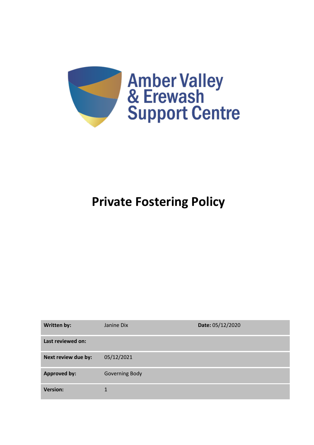

# **Private Fostering Policy**

| <b>Written by:</b>  | Janine Dix            | Date: 05/12/2020 |
|---------------------|-----------------------|------------------|
| Last reviewed on:   |                       |                  |
| Next review due by: | 05/12/2021            |                  |
| <b>Approved by:</b> | <b>Governing Body</b> |                  |
| <b>Version:</b>     | 1                     |                  |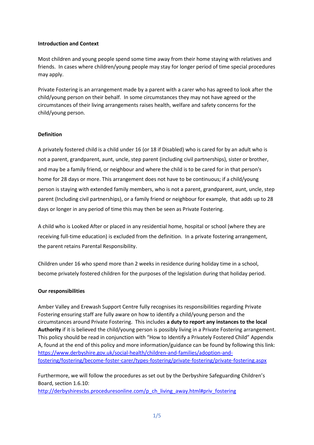#### **Introduction and Context**

Most children and young people spend some time away from their home staying with relatives and friends. In cases where children/young people may stay for longer period of time special procedures may apply.

Private Fostering is an arrangement made by a parent with a carer who has agreed to look after the child/young person on their behalf. In some circumstances they may not have agreed or the circumstances of their living arrangements raises health, welfare and safety concerns for the child/young person.

# **Definition**

A privately fostered child is a child under 16 (or 18 if Disabled) who is cared for by an adult who is not a parent, grandparent, aunt, uncle, step parent (including civil partnerships), sister or brother, and may be a family friend, or neighbour and where the child is to be cared for in that person's home for 28 days or more. This arrangement does not have to be continuous; if a child/young person is staying with extended family members, who is not a parent, grandparent, aunt, uncle, step parent (Including civil partnerships), or a family friend or neighbour for example, that adds up to 28 days or longer in any period of time this may then be seen as Private Fostering.

A child who is [Looked After](http://www.proceduresonline.com/resources/keywords_online/nat_key/keywords/looked_after.html) or placed in any residential home, hospital or school (where they are receiving full-time education) is excluded from the definition. In a private fostering arrangement, the parent retains [Parental Responsibility.](http://www.proceduresonline.com/resources/keywords_online/nat_key/keywords/parental_respons.html)

Children under 16 who spend more than 2 weeks in residence during holiday time in a school, become privately fostered children for the purposes of the legislation during that holiday period.

#### **Our responsibilities**

Amber Valley and Erewash Support Centre fully recognises its responsibilities regarding Private Fostering ensuring staff are fully aware on how to identify a child/young person and the circumstances around Private Fostering. This includes **a duty to report any instances to the local Authority** if it is believed the child/young person is possibly living in a Private Fostering arrangement. This policy should be read in conjunction with "How to Identify a Privately Fostered Child" Appendix A, found at the end of this policy and more information/guidance can be found by following this link: [https://www.derbyshire.gov.uk/social-health/children-and-families/adoption-and](https://www.derbyshire.gov.uk/social-health/children-and-families/adoption-and-fostering/fostering/become-foster-carer/types-fostering/private-fostering/private-fostering.aspx)[fostering/fostering/become-foster-carer/types-fostering/private-fostering/private-fostering.aspx](https://www.derbyshire.gov.uk/social-health/children-and-families/adoption-and-fostering/fostering/become-foster-carer/types-fostering/private-fostering/private-fostering.aspx)

Furthermore, we will follow the procedures as set out by the Derbyshire Safeguarding Children's Board, section 1.6.10:

[http://derbyshirescbs.proceduresonline.com/p\\_ch\\_living\\_away.html#priv\\_fostering](http://derbyshirescbs.proceduresonline.com/p_ch_living_away.html#priv_fostering)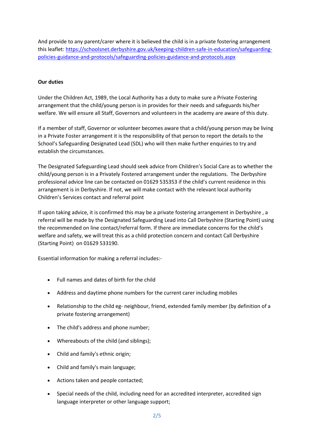And provide to any parent/carer where it is believed the child is in a private fostering arrangement this leaflet[: https://schoolsnet.derbyshire.gov.uk/keeping-children-safe-in-education/safeguarding](https://schoolsnet.derbyshire.gov.uk/keeping-children-safe-in-education/safeguarding-policies-guidance-and-protocols/safeguarding-policies-guidance-and-protocols.aspx)[policies-guidance-and-protocols/safeguarding-policies-guidance-and-protocols.aspx](https://schoolsnet.derbyshire.gov.uk/keeping-children-safe-in-education/safeguarding-policies-guidance-and-protocols/safeguarding-policies-guidance-and-protocols.aspx)

### **Our duties**

Under the Children Act, 1989, the Local Authority has a duty to make sure a Private Fostering arrangement that the child/young person is in provides for their needs and safeguards his/her welfare. We will ensure all Staff, Governors and volunteers in the academy are aware of this duty.

If a member of staff, Governor or volunteer becomes aware that a child/young person may be living in a Private Foster arrangement it is the responsibility of that person to report the details to the School's Safeguarding Designated Lead (SDL) who will then make further enquiries to try and establish the circumstances.

The Designated Safeguarding Lead should seek advice from Children's Social Care as to whether the child/young person is in a Privately Fostered arrangement under the regulations. The Derbyshire professional advice line can be contacted on 01629 535353 if the child's current residence in this arrangement is in Derbyshire. If not, we will make contact with the relevant local authority Children's Services contact and referral point

If upon taking advice, it is confirmed this may be a private fostering arrangement in Derbyshire , a referral will be made by the Designated Safeguarding Lead into Call Derbyshire (Starting Point) using the recommended on line contact/referral form. If there are immediate concerns for the child's welfare and safety, we will treat this as a child protection concern and contact Call Derbyshire (Starting Point) on 01629 533190.

Essential information for making a referral includes:-

- Full names and dates of birth for the child
- Address and daytime phone numbers for the current carer including mobiles
- Relationship to the child eg- neighbour, friend, extended family member (by definition of a private fostering arrangement)
- The child's address and phone number;
- Whereabouts of the child (and siblings);
- Child and family's ethnic origin;
- Child and family's main language;
- Actions taken and people contacted;
- Special needs of the child, including need for an accredited interpreter, accredited sign language interpreter or other language support;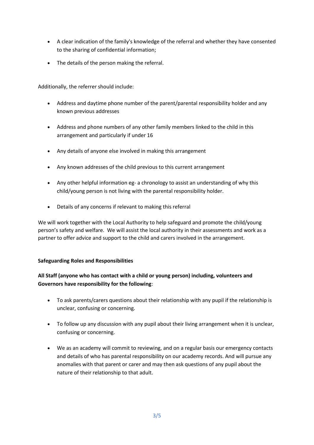- A clear indication of the family's knowledge of the referral and whether they have consented to the sharing of confidential information;
- The details of the person making the referral.

Additionally, the referrer should include:

- Address and daytime phone number of the parent/parental responsibility holder and any known previous addresses
- Address and phone numbers of any other family members linked to the child in this arrangement and particularly if under 16
- Any details of anyone else involved in making this arrangement
- Any known addresses of the child previous to this current arrangement
- Any other helpful information eg- a chronology to assist an understanding of why this child/young person is not living with the parental responsibility holder.
- Details of any concerns if relevant to making this referral

We will work together with the Local Authority to help safeguard and promote the child/young person's safety and welfare. We will assist the local authority in their assessments and work as a partner to offer advice and support to the child and carers involved in the arrangement.

# **Safeguarding Roles and Responsibilities**

# **All Staff (anyone who has contact with a child or young person) including, volunteers and Governors have responsibility for the following**:

- To ask parents/carers questions about their relationship with any pupil if the relationship is unclear, confusing or concerning.
- To follow up any discussion with any pupil about their living arrangement when it is unclear, confusing or concerning.
- We as an academy will commit to reviewing, and on a regular basis our emergency contacts and details of who has parental responsibility on our academy records. And will pursue any anomalies with that parent or carer and may then ask questions of any pupil about the nature of their relationship to that adult.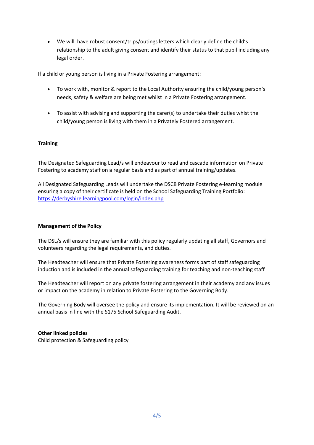• We will have robust consent/trips/outings letters which clearly define the child's relationship to the adult giving consent and identify their status to that pupil including any legal order.

If a child or young person is living in a Private Fostering arrangement:

- To work with, monitor & report to the Local Authority ensuring the child/young person's needs, safety & welfare are being met whilst in a Private Fostering arrangement.
- To assist with advising and supporting the carer(s) to undertake their duties whist the child/young person is living with them in a Privately Fostered arrangement.

# **Training**

The Designated Safeguarding Lead/s will endeavour to read and cascade information on Private Fostering to academy staff on a regular basis and as part of annual training/updates.

All Designated Safeguarding Leads will undertake the DSCB Private Fostering e-learning module ensuring a copy of their certificate is held on the School Safeguarding Training Portfolio: <https://derbyshire.learningpool.com/login/index.php>

# **Management of the Policy**

The DSL/s will ensure they are familiar with this policy regularly updating all staff, Governors and volunteers regarding the legal requirements, and duties.

The Headteacher will ensure that Private Fostering awareness forms part of staff safeguarding induction and is included in the annual safeguarding training for teaching and non-teaching staff

The Headteacher will report on any private fostering arrangement in their academy and any issues or impact on the academy in relation to Private Fostering to the Governing Body.

The Governing Body will oversee the policy and ensure its implementation. It will be reviewed on an annual basis in line with the S175 School Safeguarding Audit.

# **Other linked policies**

Child protection & Safeguarding policy